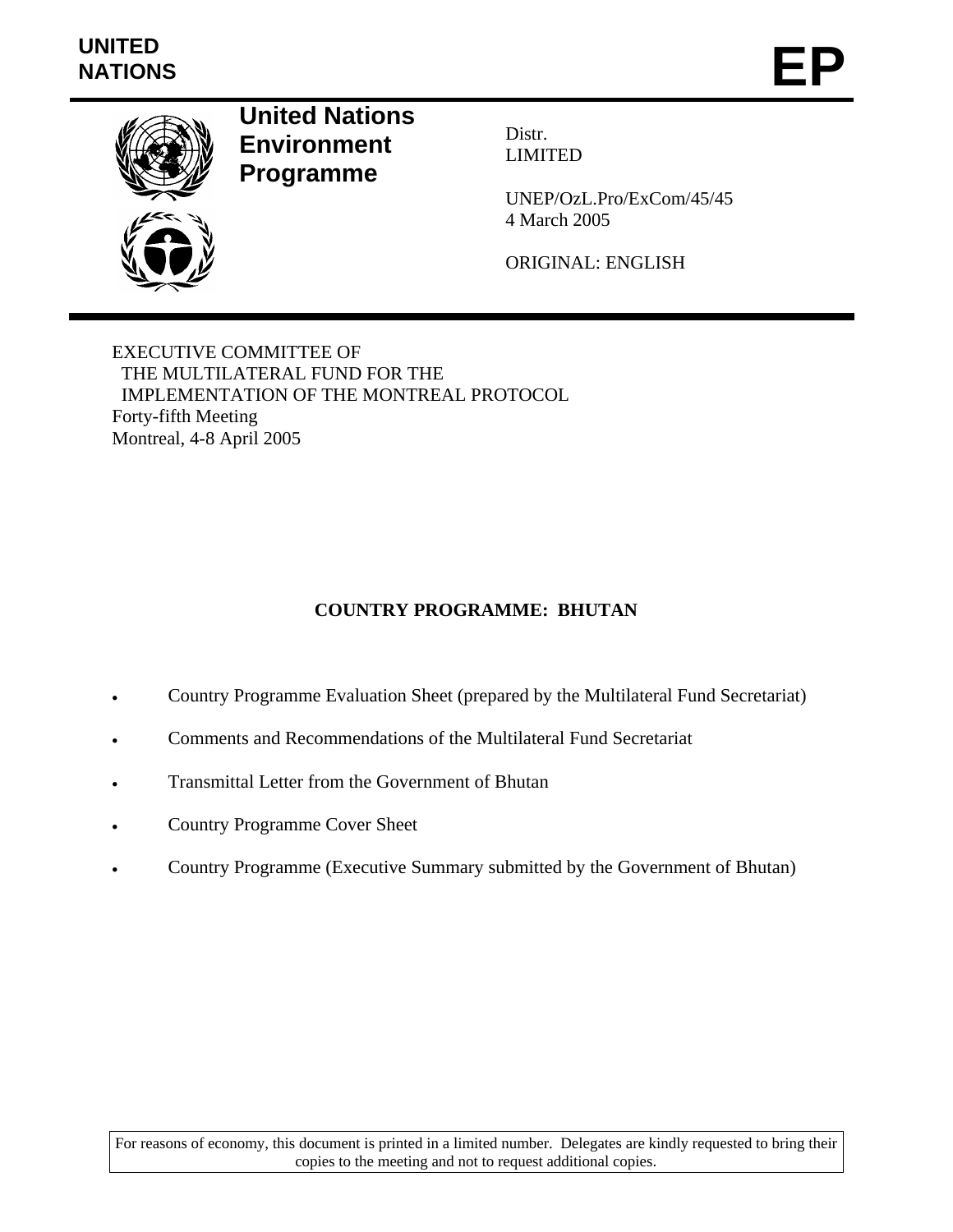# **UNITED**  UNITED<br>NATIONS **EP**



**United Nations Environment Programme** 

Distr. LIMITED

UNEP/OzL.Pro/ExCom/45/45 4 March 2005

ORIGINAL: ENGLISH

EXECUTIVE COMMITTEE OF THE MULTILATERAL FUND FOR THE IMPLEMENTATION OF THE MONTREAL PROTOCOL Forty-fifth Meeting Montreal, 4-8 April 2005

# **COUNTRY PROGRAMME: BHUTAN**

- Country Programme Evaluation Sheet (prepared by the Multilateral Fund Secretariat)
- Comments and Recommendations of the Multilateral Fund Secretariat
- Transmittal Letter from the Government of Bhutan
- Country Programme Cover Sheet
- Country Programme (Executive Summary submitted by the Government of Bhutan)

For reasons of economy, this document is printed in a limited number. Delegates are kindly requested to bring their copies to the meeting and not to request additional copies.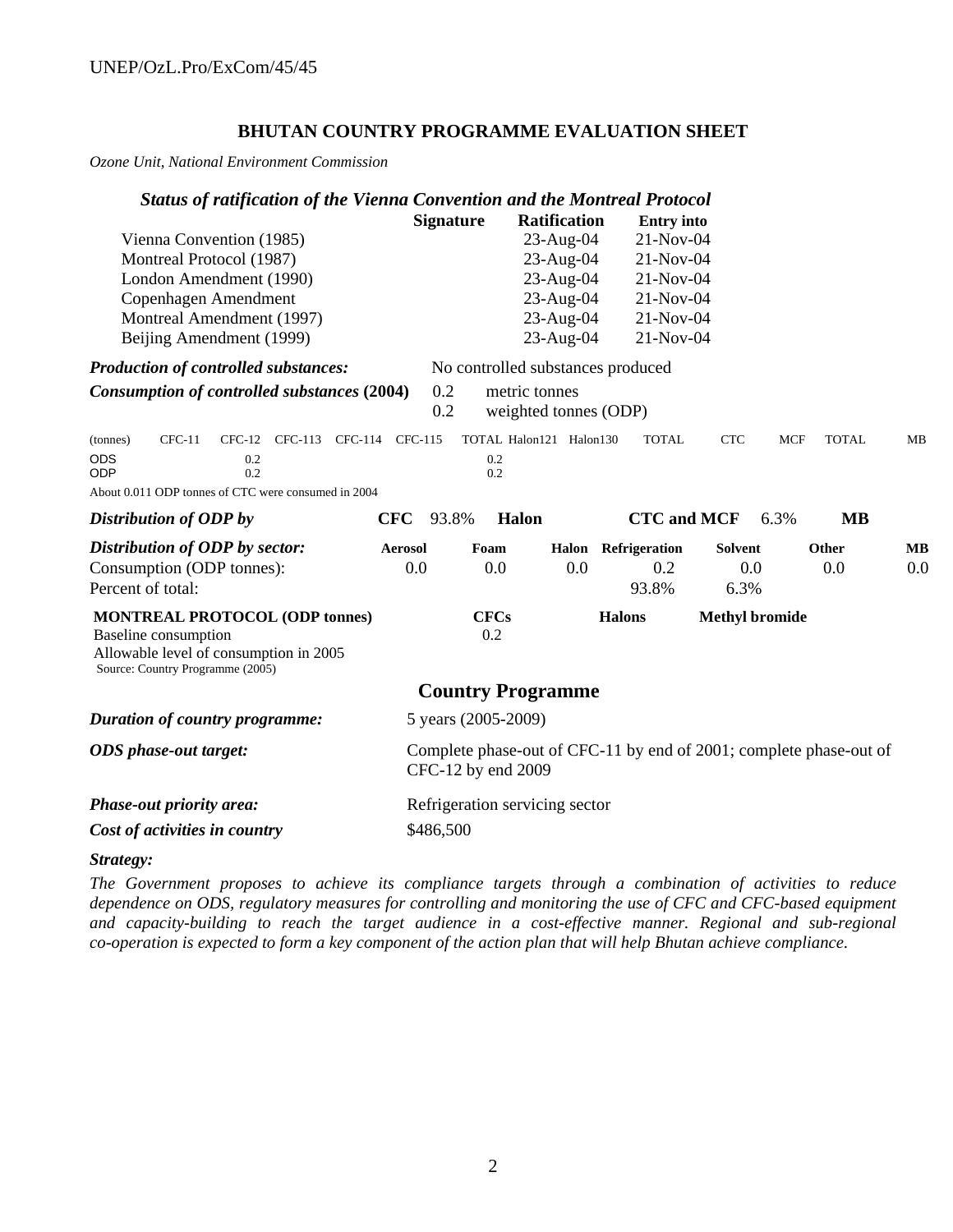## **BHUTAN COUNTRY PROGRAMME EVALUATION SHEET**

*Ozone Unit, National Environment Commission*

|                        |                                                                                                                                                    |     |                                |                |                  | <b>Status of ratification of the Vienna Convention and the Montreal Protocol</b>         |                     |                     |                   |                       |            |              |           |
|------------------------|----------------------------------------------------------------------------------------------------------------------------------------------------|-----|--------------------------------|----------------|------------------|------------------------------------------------------------------------------------------|---------------------|---------------------|-------------------|-----------------------|------------|--------------|-----------|
|                        |                                                                                                                                                    |     |                                |                | <b>Signature</b> |                                                                                          | <b>Ratification</b> |                     | <b>Entry</b> into |                       |            |              |           |
|                        | Vienna Convention (1985)                                                                                                                           |     |                                |                |                  |                                                                                          | 23-Aug-04           |                     | 21-Nov-04         |                       |            |              |           |
|                        | Montreal Protocol (1987)                                                                                                                           |     |                                |                |                  |                                                                                          | 23-Aug-04           |                     | 21-Nov-04         |                       |            |              |           |
|                        | London Amendment (1990)                                                                                                                            |     |                                |                |                  |                                                                                          | 23-Aug-04           |                     | 21-Nov-04         |                       |            |              |           |
|                        | Copenhagen Amendment                                                                                                                               |     |                                |                |                  |                                                                                          | 23-Aug-04           |                     | 21-Nov-04         |                       |            |              |           |
|                        | Montreal Amendment (1997)                                                                                                                          |     |                                |                |                  |                                                                                          | 23-Aug-04           |                     | 21-Nov-04         |                       |            |              |           |
|                        | Beijing Amendment (1999)                                                                                                                           |     |                                |                |                  |                                                                                          | 23-Aug-04           |                     | 21-Nov-04         |                       |            |              |           |
|                        | <b>Production of controlled substances:</b>                                                                                                        |     |                                |                |                  | No controlled substances produced                                                        |                     |                     |                   |                       |            |              |           |
|                        | Consumption of controlled substances (2004)                                                                                                        |     |                                |                | 0.2<br>0.2       | metric tonnes<br>weighted tonnes (ODP)                                                   |                     |                     |                   |                       |            |              |           |
| (tonnes)<br><b>ODS</b> | $CFC-11$                                                                                                                                           | 0.2 | CFC-12 CFC-113 CFC-114 CFC-115 |                |                  | TOTAL Halon121 Halon130<br>0.2                                                           |                     |                     | <b>TOTAL</b>      | <b>CTC</b>            | <b>MCF</b> | <b>TOTAL</b> | MB        |
| <b>ODP</b>             |                                                                                                                                                    | 0.2 |                                |                |                  | 0.2                                                                                      |                     |                     |                   |                       |            |              |           |
|                        | About 0.011 ODP tonnes of CTC were consumed in 2004                                                                                                |     |                                |                |                  |                                                                                          |                     |                     |                   |                       |            |              |           |
|                        | Distribution of ODP by                                                                                                                             |     |                                | <b>CFC</b>     | 93.8%            | Halon                                                                                    |                     |                     |                   | <b>CTC</b> and MCF    | 6.3%       | <b>MB</b>    |           |
|                        | Distribution of ODP by sector:                                                                                                                     |     |                                | <b>Aerosol</b> |                  | Foam                                                                                     |                     | Halon Refrigeration |                   | <b>Solvent</b>        |            | Other        | <b>MB</b> |
|                        | Consumption (ODP tonnes):                                                                                                                          |     |                                | 0.0            |                  | 0.0                                                                                      | 0.0                 |                     | 0.2               | 0.0                   |            | 0.0          | 0.0       |
|                        | Percent of total:                                                                                                                                  |     |                                |                |                  |                                                                                          |                     |                     | 93.8%             | 6.3%                  |            |              |           |
|                        | <b>MONTREAL PROTOCOL (ODP tonnes)</b><br><b>Baseline</b> consumption<br>Allowable level of consumption in 2005<br>Source: Country Programme (2005) |     |                                |                |                  | <b>CFCs</b><br>0.2                                                                       |                     | <b>Halons</b>       |                   | <b>Methyl bromide</b> |            |              |           |
|                        |                                                                                                                                                    |     |                                |                |                  | <b>Country Programme</b>                                                                 |                     |                     |                   |                       |            |              |           |
|                        | Duration of country programme:                                                                                                                     |     |                                |                |                  | 5 years (2005-2009)                                                                      |                     |                     |                   |                       |            |              |           |
|                        | <b>ODS</b> phase-out target:                                                                                                                       |     |                                |                |                  | Complete phase-out of CFC-11 by end of 2001; complete phase-out of<br>CFC-12 by end 2009 |                     |                     |                   |                       |            |              |           |
|                        | Phase-out priority area:                                                                                                                           |     |                                |                |                  | Refrigeration servicing sector                                                           |                     |                     |                   |                       |            |              |           |
|                        | Cost of activities in country                                                                                                                      |     |                                |                | \$486,500        |                                                                                          |                     |                     |                   |                       |            |              |           |
|                        |                                                                                                                                                    |     |                                |                |                  |                                                                                          |                     |                     |                   |                       |            |              |           |

*Strategy:*

*The Government proposes to achieve its compliance targets through a combination of activities to reduce dependence on ODS, regulatory measures for controlling and monitoring the use of CFC and CFC-based equipment and capacity-building to reach the target audience in a cost-effective manner. Regional and sub-regional co-operation is expected to form a key component of the action plan that will help Bhutan achieve compliance.*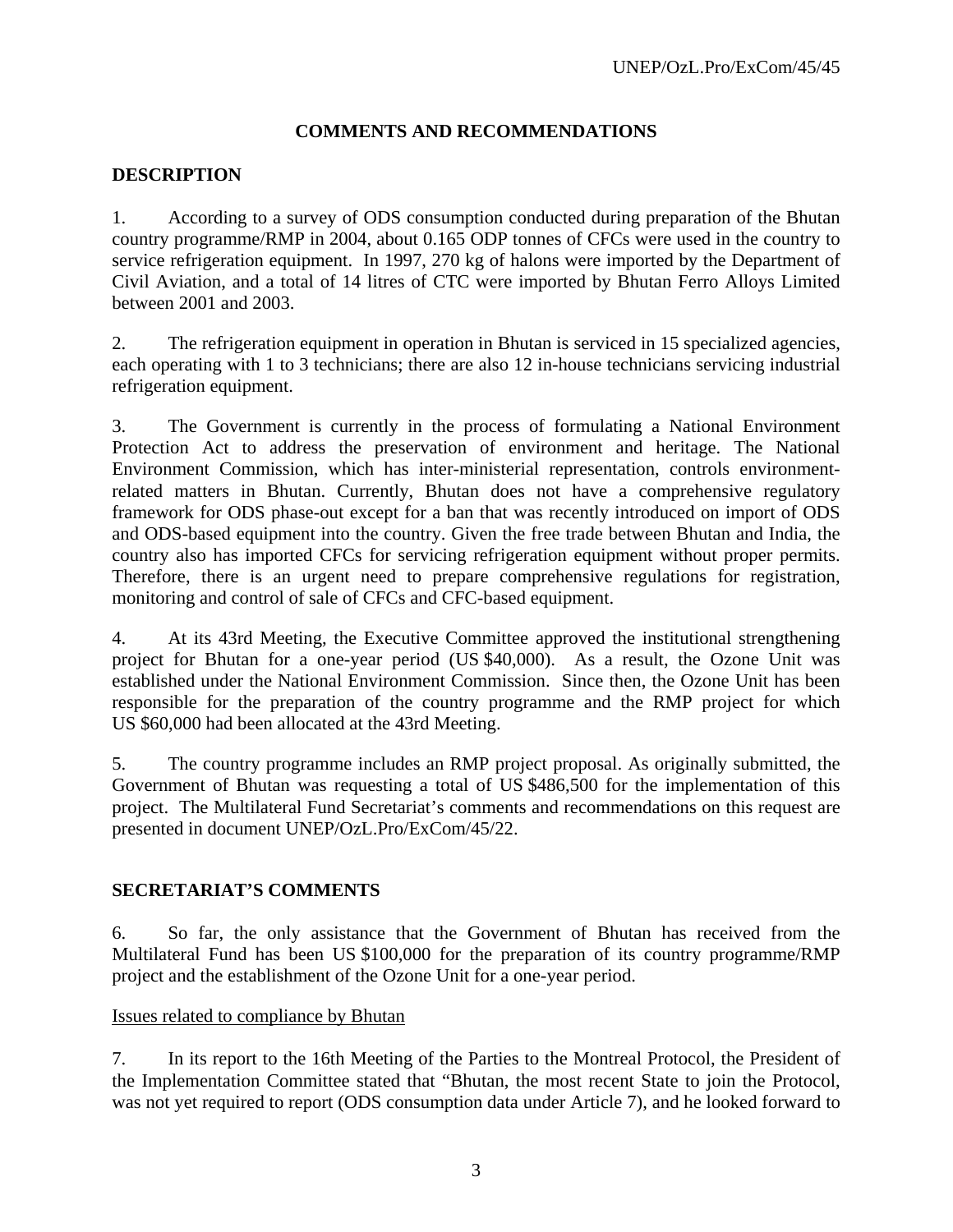# **COMMENTS AND RECOMMENDATIONS**

# **DESCRIPTION**

1. According to a survey of ODS consumption conducted during preparation of the Bhutan country programme/RMP in 2004, about 0.165 ODP tonnes of CFCs were used in the country to service refrigeration equipment. In 1997, 270 kg of halons were imported by the Department of Civil Aviation, and a total of 14 litres of CTC were imported by Bhutan Ferro Alloys Limited between 2001 and 2003.

2. The refrigeration equipment in operation in Bhutan is serviced in 15 specialized agencies, each operating with 1 to 3 technicians; there are also 12 in-house technicians servicing industrial refrigeration equipment.

3. The Government is currently in the process of formulating a National Environment Protection Act to address the preservation of environment and heritage. The National Environment Commission, which has inter-ministerial representation, controls environmentrelated matters in Bhutan. Currently, Bhutan does not have a comprehensive regulatory framework for ODS phase-out except for a ban that was recently introduced on import of ODS and ODS-based equipment into the country. Given the free trade between Bhutan and India, the country also has imported CFCs for servicing refrigeration equipment without proper permits. Therefore, there is an urgent need to prepare comprehensive regulations for registration, monitoring and control of sale of CFCs and CFC-based equipment.

4. At its 43rd Meeting, the Executive Committee approved the institutional strengthening project for Bhutan for a one-year period (US \$40,000). As a result, the Ozone Unit was established under the National Environment Commission. Since then, the Ozone Unit has been responsible for the preparation of the country programme and the RMP project for which US \$60,000 had been allocated at the 43rd Meeting.

5. The country programme includes an RMP project proposal. As originally submitted, the Government of Bhutan was requesting a total of US \$486,500 for the implementation of this project. The Multilateral Fund Secretariat's comments and recommendations on this request are presented in document UNEP/OzL.Pro/ExCom/45/22.

# **SECRETARIAT'S COMMENTS**

6. So far, the only assistance that the Government of Bhutan has received from the Multilateral Fund has been US \$100,000 for the preparation of its country programme/RMP project and the establishment of the Ozone Unit for a one-year period.

#### Issues related to compliance by Bhutan

7. In its report to the 16th Meeting of the Parties to the Montreal Protocol, the President of the Implementation Committee stated that "Bhutan, the most recent State to join the Protocol, was not yet required to report (ODS consumption data under Article 7), and he looked forward to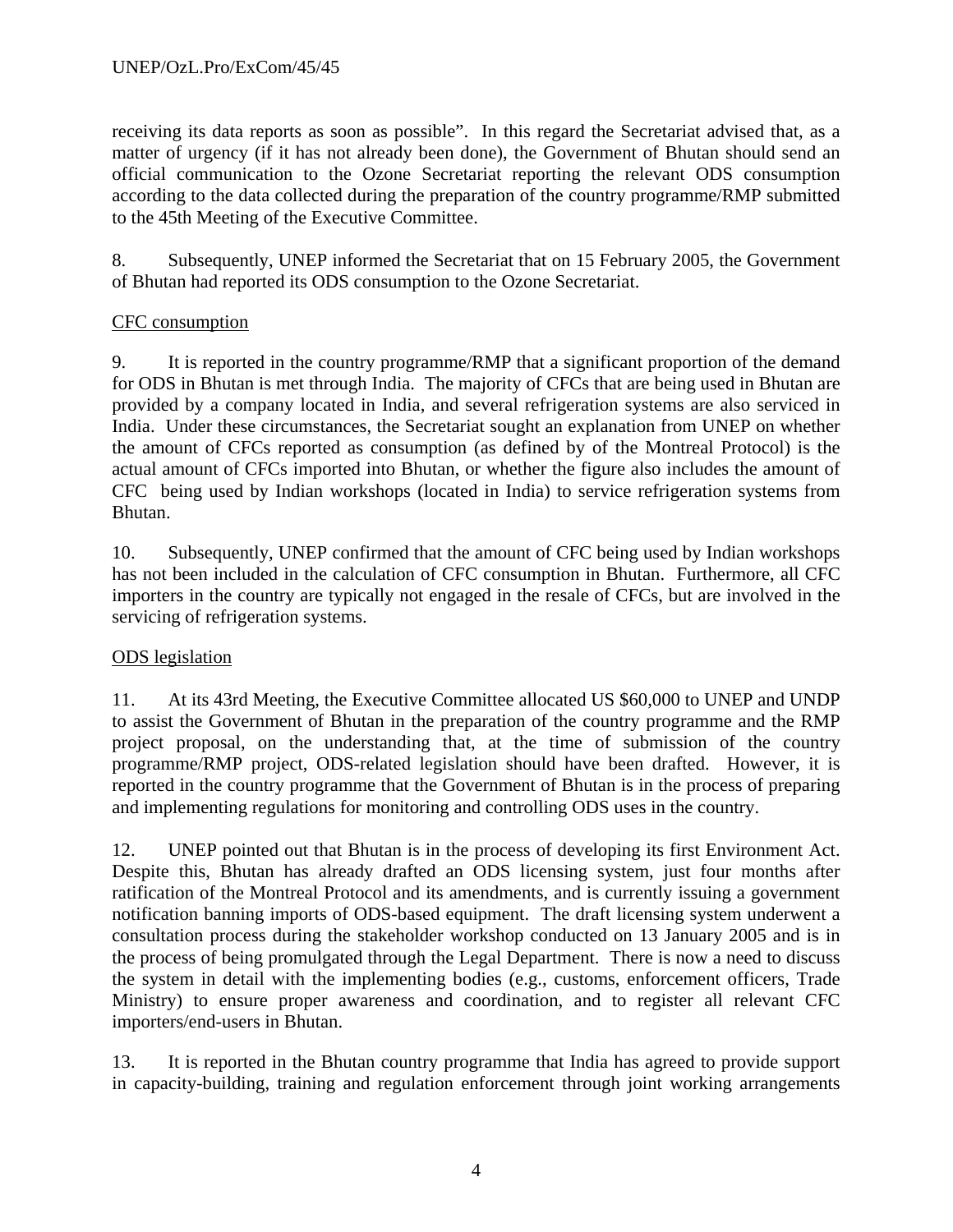receiving its data reports as soon as possible". In this regard the Secretariat advised that, as a matter of urgency (if it has not already been done), the Government of Bhutan should send an official communication to the Ozone Secretariat reporting the relevant ODS consumption according to the data collected during the preparation of the country programme/RMP submitted to the 45th Meeting of the Executive Committee.

8. Subsequently, UNEP informed the Secretariat that on 15 February 2005, the Government of Bhutan had reported its ODS consumption to the Ozone Secretariat.

# CFC consumption

9. It is reported in the country programme/RMP that a significant proportion of the demand for ODS in Bhutan is met through India. The majority of CFCs that are being used in Bhutan are provided by a company located in India, and several refrigeration systems are also serviced in India. Under these circumstances, the Secretariat sought an explanation from UNEP on whether the amount of CFCs reported as consumption (as defined by of the Montreal Protocol) is the actual amount of CFCs imported into Bhutan, or whether the figure also includes the amount of CFC being used by Indian workshops (located in India) to service refrigeration systems from Bhutan.

10. Subsequently, UNEP confirmed that the amount of CFC being used by Indian workshops has not been included in the calculation of CFC consumption in Bhutan. Furthermore, all CFC importers in the country are typically not engaged in the resale of CFCs, but are involved in the servicing of refrigeration systems.

# ODS legislation

11. At its 43rd Meeting, the Executive Committee allocated US \$60,000 to UNEP and UNDP to assist the Government of Bhutan in the preparation of the country programme and the RMP project proposal, on the understanding that, at the time of submission of the country programme/RMP project, ODS-related legislation should have been drafted. However, it is reported in the country programme that the Government of Bhutan is in the process of preparing and implementing regulations for monitoring and controlling ODS uses in the country.

12. UNEP pointed out that Bhutan is in the process of developing its first Environment Act. Despite this, Bhutan has already drafted an ODS licensing system, just four months after ratification of the Montreal Protocol and its amendments, and is currently issuing a government notification banning imports of ODS-based equipment. The draft licensing system underwent a consultation process during the stakeholder workshop conducted on 13 January 2005 and is in the process of being promulgated through the Legal Department. There is now a need to discuss the system in detail with the implementing bodies (e.g., customs, enforcement officers, Trade Ministry) to ensure proper awareness and coordination, and to register all relevant CFC importers/end-users in Bhutan.

13. It is reported in the Bhutan country programme that India has agreed to provide support in capacity-building, training and regulation enforcement through joint working arrangements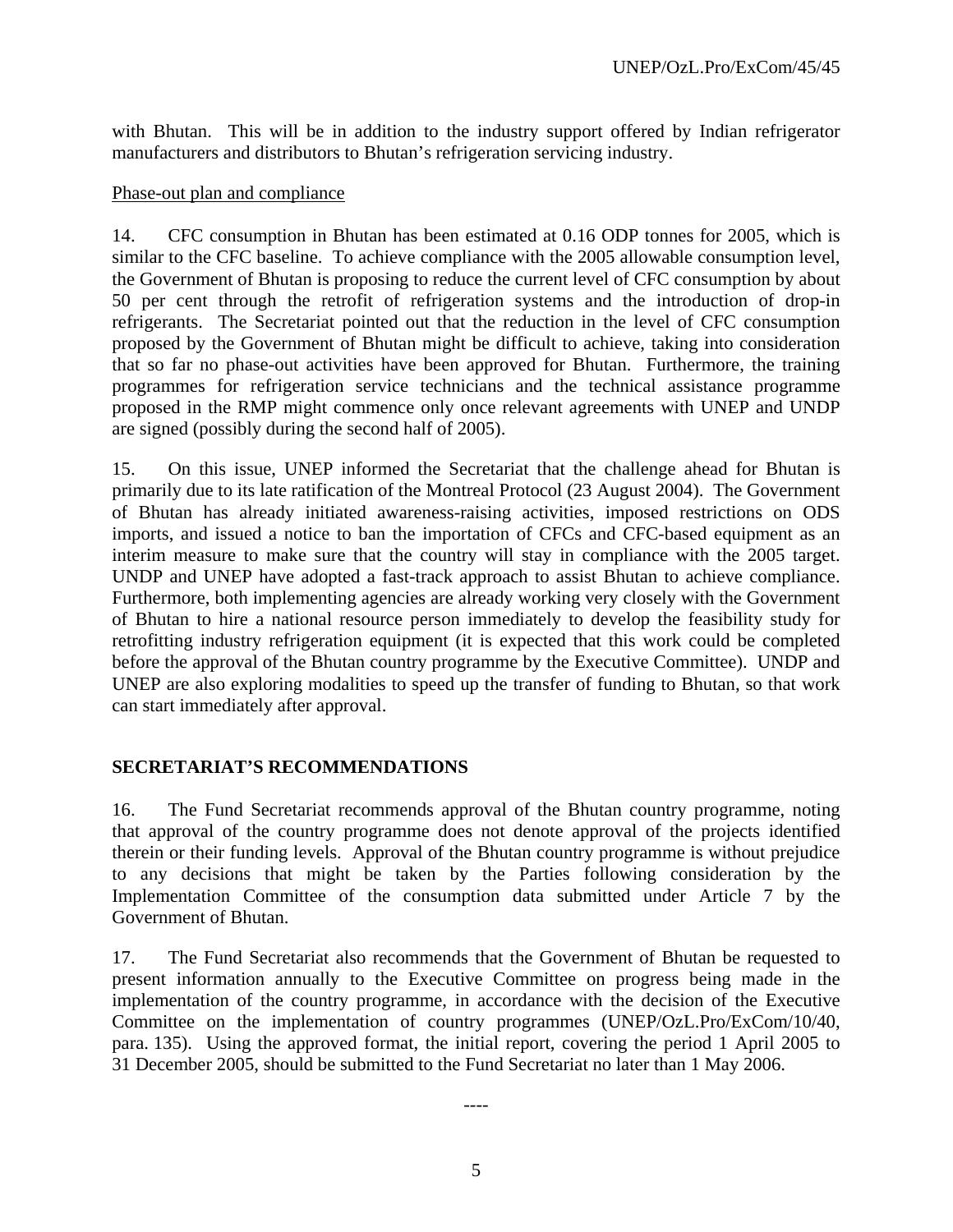with Bhutan. This will be in addition to the industry support offered by Indian refrigerator manufacturers and distributors to Bhutan's refrigeration servicing industry.

#### Phase-out plan and compliance

14. CFC consumption in Bhutan has been estimated at 0.16 ODP tonnes for 2005, which is similar to the CFC baseline. To achieve compliance with the 2005 allowable consumption level, the Government of Bhutan is proposing to reduce the current level of CFC consumption by about 50 per cent through the retrofit of refrigeration systems and the introduction of drop-in refrigerants. The Secretariat pointed out that the reduction in the level of CFC consumption proposed by the Government of Bhutan might be difficult to achieve, taking into consideration that so far no phase-out activities have been approved for Bhutan. Furthermore, the training programmes for refrigeration service technicians and the technical assistance programme proposed in the RMP might commence only once relevant agreements with UNEP and UNDP are signed (possibly during the second half of 2005).

15. On this issue, UNEP informed the Secretariat that the challenge ahead for Bhutan is primarily due to its late ratification of the Montreal Protocol (23 August 2004). The Government of Bhutan has already initiated awareness-raising activities, imposed restrictions on ODS imports, and issued a notice to ban the importation of CFCs and CFC-based equipment as an interim measure to make sure that the country will stay in compliance with the 2005 target. UNDP and UNEP have adopted a fast-track approach to assist Bhutan to achieve compliance. Furthermore, both implementing agencies are already working very closely with the Government of Bhutan to hire a national resource person immediately to develop the feasibility study for retrofitting industry refrigeration equipment (it is expected that this work could be completed before the approval of the Bhutan country programme by the Executive Committee). UNDP and UNEP are also exploring modalities to speed up the transfer of funding to Bhutan, so that work can start immediately after approval.

# **SECRETARIAT'S RECOMMENDATIONS**

16. The Fund Secretariat recommends approval of the Bhutan country programme, noting that approval of the country programme does not denote approval of the projects identified therein or their funding levels. Approval of the Bhutan country programme is without prejudice to any decisions that might be taken by the Parties following consideration by the Implementation Committee of the consumption data submitted under Article 7 by the Government of Bhutan.

17. The Fund Secretariat also recommends that the Government of Bhutan be requested to present information annually to the Executive Committee on progress being made in the implementation of the country programme, in accordance with the decision of the Executive Committee on the implementation of country programmes (UNEP/OzL.Pro/ExCom/10/40, para. 135). Using the approved format, the initial report, covering the period 1 April 2005 to 31 December 2005, should be submitted to the Fund Secretariat no later than 1 May 2006.

----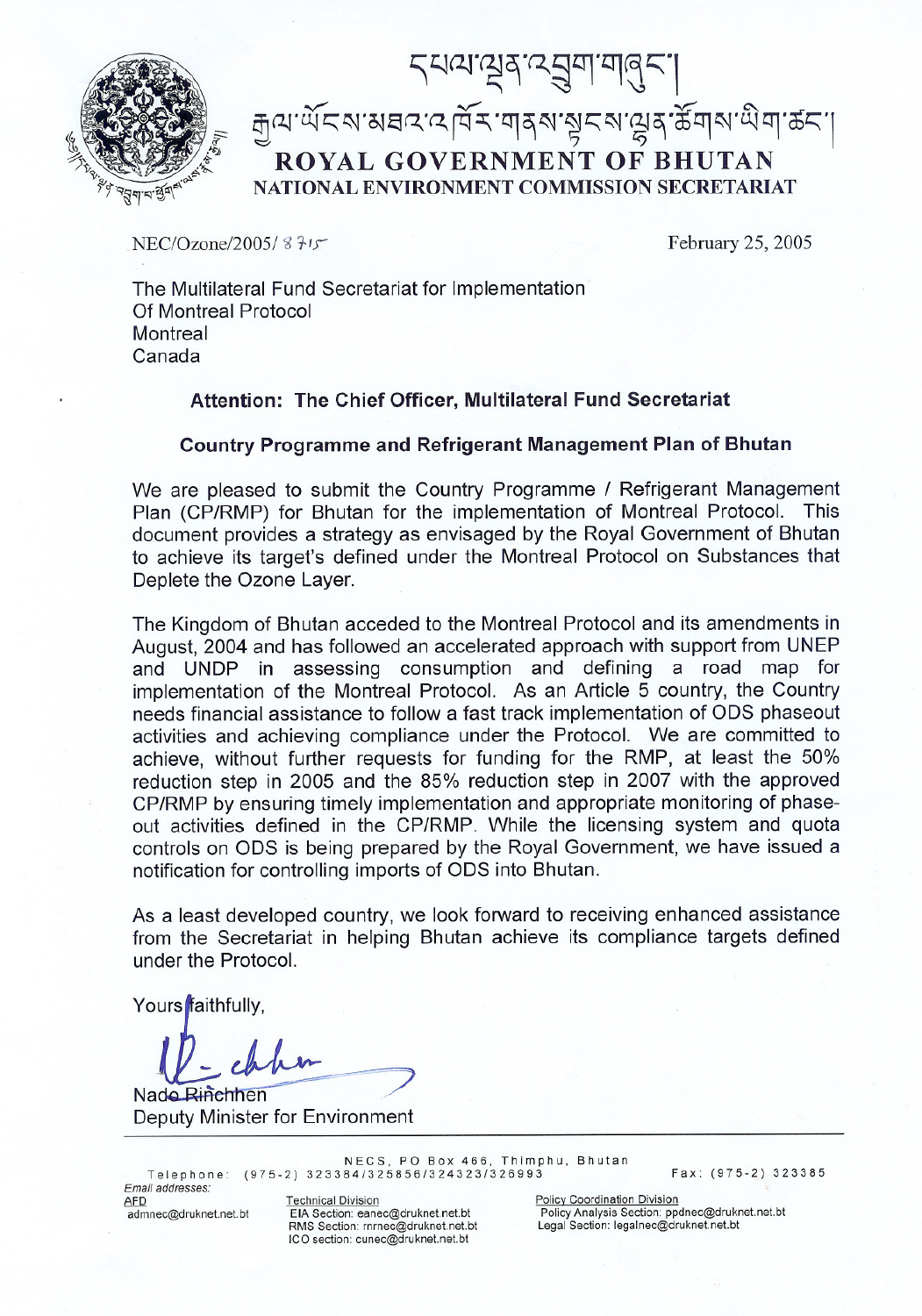



 $NEC/Ozone/2005/8715$  February 25, 2005

The Multilateral Fund Secretariat for Implementation Of Montreal Protocol **Montreal** Canada

## **Attention: The Chief Officer, Multilateral Fund Secretariat**

## **Country Programme and Refrigerant Management Plan of Bhutan**

We are pleased to submit the Country Programme / Refrigerant Management Plan (CP/RMP) for Bhutan for the implementation of Montreal Protocol. This document provides a strategy as envisaged by the Royal Government of Bhutan to achieve its target's defined under the Montreal Protocol on Substances that Deplete the Ozone Layer.

The Kingdom of Bhutan acceded to the Montreal Protocol and its amendments in August, 2004 and has followed an accelerated approach with support from UNEP and UNDP in assessing consumption and defining a road map for implementation of the Montreal Protocol. As an Article 5 country, the Country needs financial assistance to follow a fast track implementation of ODS phaseout activities and achieving compliance under the Protocol. We are committed to achieve, without further requests for funding for the RMP, at least the 50% reduction step in 2005 and the 85% reduction step in 2007 with the approved CP/RMP by ensuring timely implementation and appropriate monitoring of phaseout activities defined in the CP/RMP. While the licensing system and quota controls on ODS is being prepared by the Royal Government, we have issued a notification for controlling imports of ODS into Bhutan.

As a least developed country, we look forward to receiving enhanced assistance from the Secretariat in helping Bhutan achieve its compliance targets defined under the Protocol.

Yours faithfully,

 $y \, h$ .

Nado Rinchhen Deputy Minister for Environment

NECS, PO Box 466, Thimphu, Bhut Telephone: (975-2) 323384/325856/324323/326993 Fax: (975-2) 323385

Email *addresses:*

AFD Technical Division<br>
admnec@druknet.net.bt EIA Section: eanec@druknet.net.bt Policy Analysis Section: pp RMS Section: rnrnec@druknet.net.bt ICO section: cunec@druknet.net.bt

Policy Analysis Section: ppdnec@druknet.net.bt<br>Legal Section: legalnec@druknet.net.bt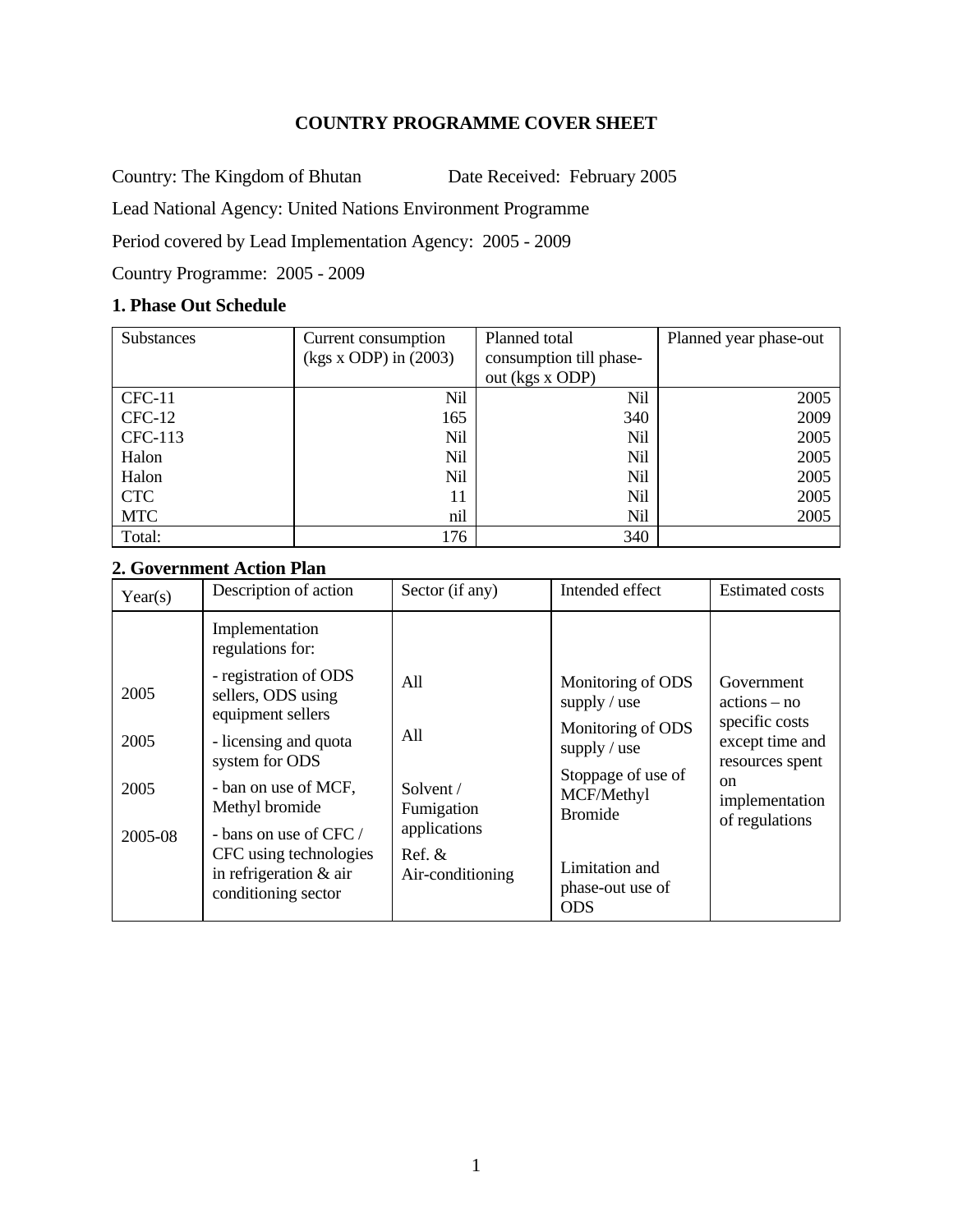## **COUNTRY PROGRAMME COVER SHEET**

Country: The Kingdom of Bhutan Date Received: February 2005

Lead National Agency: United Nations Environment Programme

Period covered by Lead Implementation Agency: 2005 - 2009

Country Programme: 2005 - 2009

# **1. Phase Out Schedule**

| Substances | Current consumption       | Planned total           | Planned year phase-out |
|------------|---------------------------|-------------------------|------------------------|
|            | $(kgs x ODP)$ in $(2003)$ | consumption till phase- |                        |
|            |                           | out (kgs x ODP)         |                        |
| $CFC-11$   | Nil                       | Nil                     | 2005                   |
| $CFC-12$   | 165                       | 340                     | 2009                   |
| CFC-113    | Nil                       | <b>Nil</b>              | 2005                   |
| Halon      | Nil                       | <b>Nil</b>              | 2005                   |
| Halon      | Nil                       | Nil                     | 2005                   |
| <b>CTC</b> | 11                        | <b>Nil</b>              | 2005                   |
| <b>MTC</b> | nil                       | <b>Nil</b>              | 2005                   |
| Total:     | 176                       | 340                     |                        |

# **2. Government Action Plan**

| Year(s)                         | Description of action                                                                                                                                                                                                                                                        | Sector (if any)                                                                        | Intended effect                                                                                                                                    | <b>Estimated costs</b>                                                                                                                    |
|---------------------------------|------------------------------------------------------------------------------------------------------------------------------------------------------------------------------------------------------------------------------------------------------------------------------|----------------------------------------------------------------------------------------|----------------------------------------------------------------------------------------------------------------------------------------------------|-------------------------------------------------------------------------------------------------------------------------------------------|
| 2005<br>2005<br>2005<br>2005-08 | Implementation<br>regulations for:<br>- registration of ODS<br>sellers, ODS using<br>equipment sellers<br>- licensing and quota<br>system for ODS<br>- ban on use of MCF,<br>Methyl bromide<br>- bans on use of $CFC/$<br>CFC using technologies<br>in refrigeration $&$ air | All<br>All<br>Solvent /<br>Fumigation<br>applications<br>$Ref. \&$<br>Air-conditioning | Monitoring of ODS<br>supply $/$ use<br>Monitoring of ODS<br>supply $/$ use<br>Stoppage of use of<br>MCF/Methyl<br><b>Bromide</b><br>Limitation and | Government<br>$actions - no$<br>specific costs<br>except time and<br>resources spent<br><sub>on</sub><br>implementation<br>of regulations |
|                                 | conditioning sector                                                                                                                                                                                                                                                          |                                                                                        | phase-out use of<br><b>ODS</b>                                                                                                                     |                                                                                                                                           |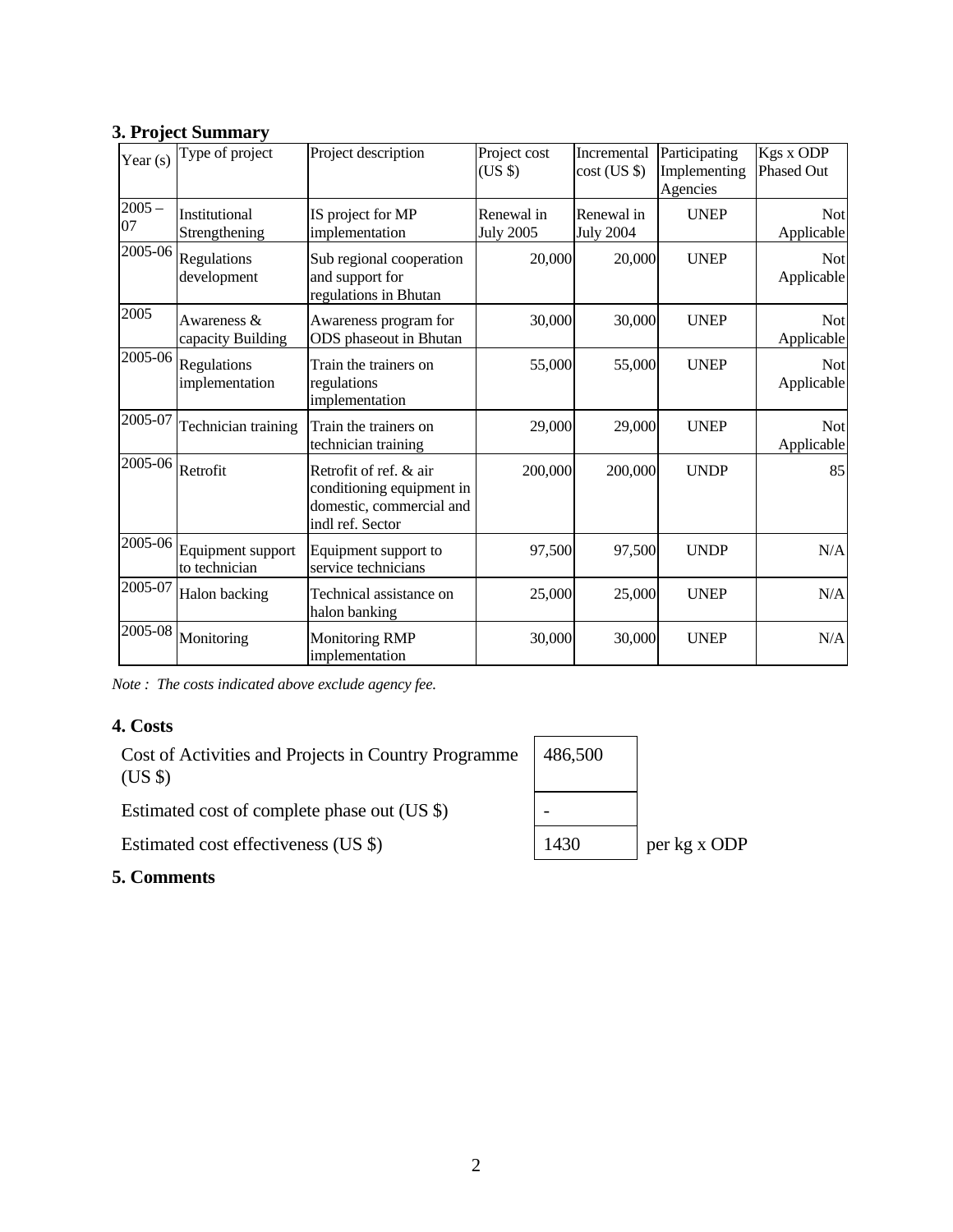| Year $(s)$     | Type of project                    | Project description                                                                                 | Project cost<br>(US \$)        | Incremental<br>cost (US \$)    | Participating<br>Implementing<br>Agencies | Kgs x ODP<br><b>Phased Out</b> |
|----------------|------------------------------------|-----------------------------------------------------------------------------------------------------|--------------------------------|--------------------------------|-------------------------------------------|--------------------------------|
| $2005 -$<br>07 | Institutional<br>Strengthening     | IS project for MP<br>implementation                                                                 | Renewal in<br><b>July 2005</b> | Renewal in<br><b>July 2004</b> | <b>UNEP</b>                               | <b>Not</b><br>Applicable       |
| 2005-06        | Regulations<br>development         | Sub regional cooperation<br>and support for<br>regulations in Bhutan                                | 20,000                         | 20,000                         | <b>UNEP</b>                               | <b>Not</b><br>Applicable       |
| 2005           | Awareness &<br>capacity Building   | Awareness program for<br>ODS phaseout in Bhutan                                                     | 30,000                         | 30,000                         | <b>UNEP</b>                               | <b>Not</b><br>Applicable       |
| 2005-06        | Regulations<br>implementation      | Train the trainers on<br>regulations<br>implementation                                              | 55,000                         | 55,000                         | <b>UNEP</b>                               | <b>Not</b><br>Applicable       |
| 2005-07        | Technician training                | Train the trainers on<br>technician training                                                        | 29,000                         | 29,000                         | <b>UNEP</b>                               | <b>Not</b><br>Applicable       |
| 2005-06        | Retrofit                           | Retrofit of ref. & air<br>conditioning equipment in<br>domestic, commercial and<br>indl ref. Sector | 200,000                        | 200,000                        | <b>UNDP</b>                               | 85                             |
| 2005-06        | Equipment support<br>to technician | Equipment support to<br>service technicians                                                         | 97,500                         | 97,500                         | <b>UNDP</b>                               | N/A                            |
| 2005-07        | Halon backing                      | Technical assistance on<br>halon banking                                                            | 25,000                         | 25,000                         | <b>UNEP</b>                               | N/A                            |
| 2005-08        | Monitoring                         | <b>Monitoring RMP</b><br>implementation                                                             | 30,000                         | 30,000                         | <b>UNEP</b>                               | N/A                            |

# **3. Project Summary**

*Note : The costs indicated above exclude agency fee.* 

# **4. Costs**

Cost of Activities and Projects in Country Programme (US \$)

Estimated cost of complete phase out (US \$)  $\vert$  -

Estimated cost effectiveness (US  $\Diamond$ ) 1430 per kg x ODP

# **5. Comments**

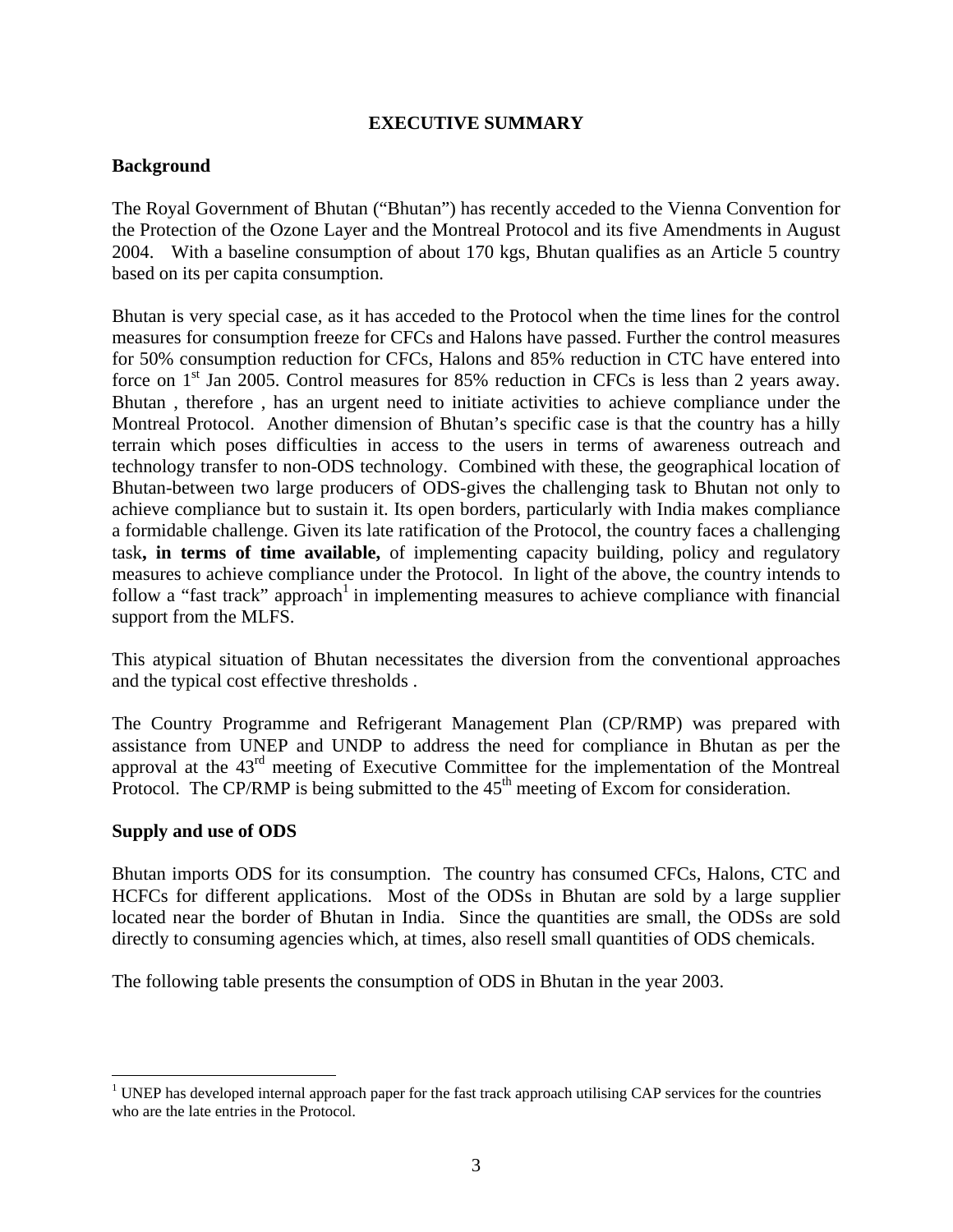## **EXECUTIVE SUMMARY**

## **Background**

The Royal Government of Bhutan ("Bhutan") has recently acceded to the Vienna Convention for the Protection of the Ozone Layer and the Montreal Protocol and its five Amendments in August 2004. With a baseline consumption of about 170 kgs, Bhutan qualifies as an Article 5 country based on its per capita consumption.

Bhutan is very special case, as it has acceded to the Protocol when the time lines for the control measures for consumption freeze for CFCs and Halons have passed. Further the control measures for 50% consumption reduction for CFCs, Halons and 85% reduction in CTC have entered into force on  $1<sup>st</sup>$  Jan 2005. Control measures for 85% reduction in CFCs is less than 2 years away. Bhutan , therefore , has an urgent need to initiate activities to achieve compliance under the Montreal Protocol. Another dimension of Bhutan's specific case is that the country has a hilly terrain which poses difficulties in access to the users in terms of awareness outreach and technology transfer to non-ODS technology. Combined with these, the geographical location of Bhutan-between two large producers of ODS-gives the challenging task to Bhutan not only to achieve compliance but to sustain it. Its open borders, particularly with India makes compliance a formidable challenge. Given its late ratification of the Protocol, the country faces a challenging task**, in terms of time available,** of implementing capacity building, policy and regulatory measures to achieve compliance under the Protocol. In light of the above, the country intends to follow a "fast track" approach<sup>1</sup> in implementing measures to achieve compliance with financial support from the MLFS.

This atypical situation of Bhutan necessitates the diversion from the conventional approaches and the typical cost effective thresholds .

The Country Programme and Refrigerant Management Plan (CP/RMP) was prepared with assistance from UNEP and UNDP to address the need for compliance in Bhutan as per the approval at the 43rd meeting of Executive Committee for the implementation of the Montreal Protocol. The CP/RMP is being submitted to the  $45<sup>th</sup>$  meeting of Excom for consideration.

#### **Supply and use of ODS**

Bhutan imports ODS for its consumption. The country has consumed CFCs, Halons, CTC and HCFCs for different applications. Most of the ODSs in Bhutan are sold by a large supplier located near the border of Bhutan in India. Since the quantities are small, the ODSs are sold directly to consuming agencies which, at times, also resell small quantities of ODS chemicals.

The following table presents the consumption of ODS in Bhutan in the year 2003.

<sup>&</sup>lt;sup>1</sup> UNEP has developed internal approach paper for the fast track approach utilising CAP services for the countries who are the late entries in the Protocol.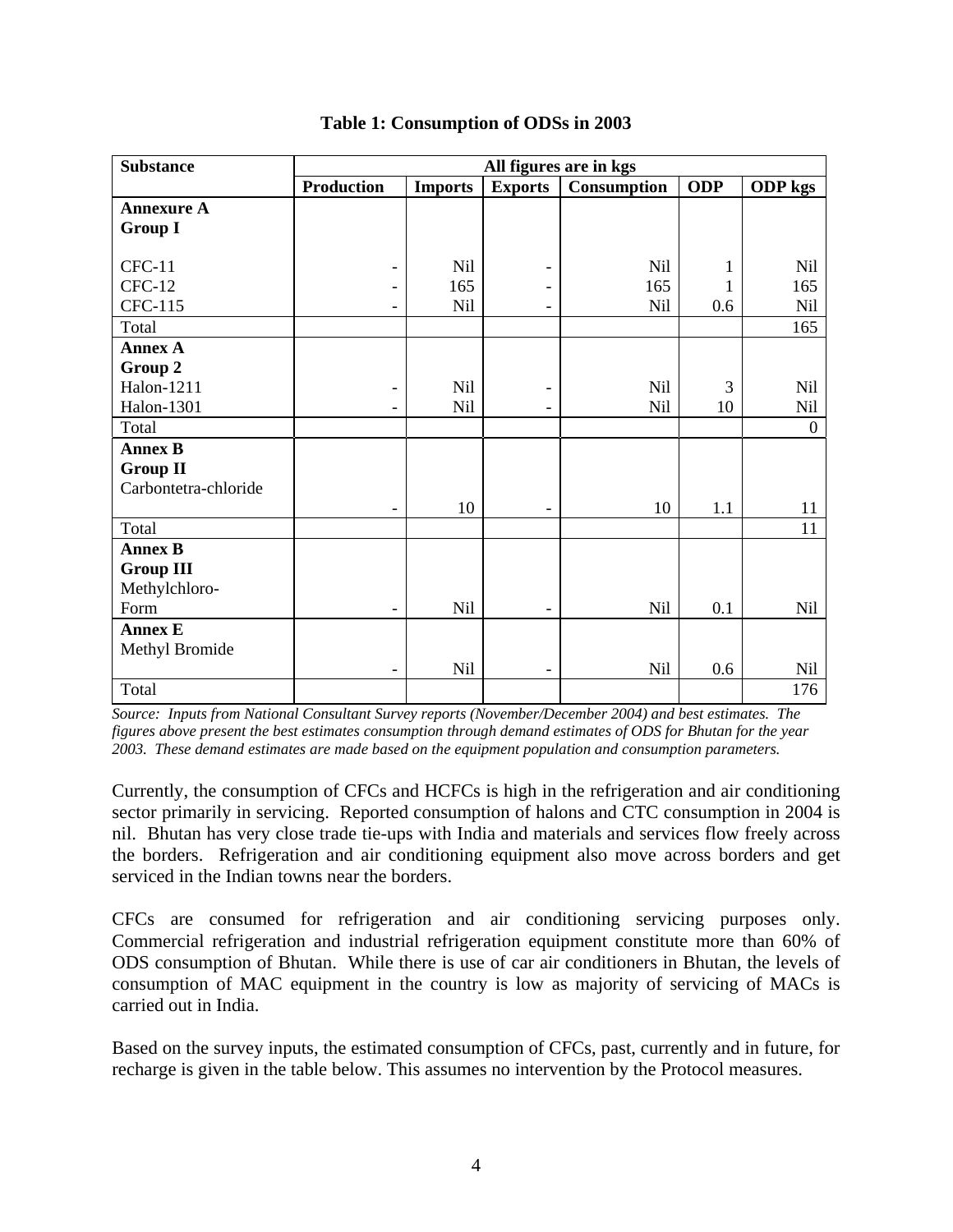| <b>Substance</b>     | All figures are in kgs   |                |                          |                    |              |                |  |  |  |
|----------------------|--------------------------|----------------|--------------------------|--------------------|--------------|----------------|--|--|--|
|                      | <b>Production</b>        | <b>Imports</b> | <b>Exports</b>           | <b>Consumption</b> | <b>ODP</b>   | ODP kgs        |  |  |  |
| <b>Annexure A</b>    |                          |                |                          |                    |              |                |  |  |  |
| <b>Group I</b>       |                          |                |                          |                    |              |                |  |  |  |
|                      |                          |                |                          |                    |              |                |  |  |  |
| $CFC-11$             | $\overline{\phantom{a}}$ | <b>Nil</b>     |                          | Nil                | $\mathbf{1}$ | Nil            |  |  |  |
| $CFC-12$             | $\overline{\phantom{a}}$ | 165            |                          | 165                | 1            | 165            |  |  |  |
| CFC-115              | $\overline{\phantom{a}}$ | Nil            | -                        | <b>Nil</b>         | 0.6          | <b>Nil</b>     |  |  |  |
| Total                |                          |                |                          |                    |              | 165            |  |  |  |
| <b>Annex A</b>       |                          |                |                          |                    |              |                |  |  |  |
| Group 2              |                          |                |                          |                    |              |                |  |  |  |
| Halon-1211           | $\overline{\phantom{a}}$ | <b>Nil</b>     | $\overline{\phantom{a}}$ | Nil                | 3            | <b>Nil</b>     |  |  |  |
| <b>Halon-1301</b>    |                          | <b>Nil</b>     |                          | <b>Nil</b>         | 10           | <b>Nil</b>     |  |  |  |
| Total                |                          |                |                          |                    |              | $\overline{0}$ |  |  |  |
| <b>Annex B</b>       |                          |                |                          |                    |              |                |  |  |  |
| <b>Group II</b>      |                          |                |                          |                    |              |                |  |  |  |
| Carbontetra-chloride |                          |                |                          |                    |              |                |  |  |  |
|                      | $\overline{\phantom{a}}$ | 10             | $\overline{\phantom{0}}$ | 10                 | 1.1          | 11             |  |  |  |
| Total                |                          |                |                          |                    |              | 11             |  |  |  |
| <b>Annex B</b>       |                          |                |                          |                    |              |                |  |  |  |
| <b>Group III</b>     |                          |                |                          |                    |              |                |  |  |  |
| Methylchloro-        |                          |                |                          |                    |              |                |  |  |  |
| Form                 | $\overline{\phantom{a}}$ | Nil            | $\overline{\phantom{0}}$ | Nil                | 0.1          | <b>Nil</b>     |  |  |  |
| <b>Annex E</b>       |                          |                |                          |                    |              |                |  |  |  |
| Methyl Bromide       |                          |                |                          |                    |              |                |  |  |  |
|                      |                          | Nil            | $\overline{\phantom{a}}$ | Nil                | 0.6          | Nil            |  |  |  |
| Total                |                          |                |                          |                    |              | 176            |  |  |  |

## **Table 1: Consumption of ODSs in 2003**

*Source: Inputs from National Consultant Survey reports (November/December 2004) and best estimates. The figures above present the best estimates consumption through demand estimates of ODS for Bhutan for the year 2003. These demand estimates are made based on the equipment population and consumption parameters.* 

Currently, the consumption of CFCs and HCFCs is high in the refrigeration and air conditioning sector primarily in servicing. Reported consumption of halons and CTC consumption in 2004 is nil. Bhutan has very close trade tie-ups with India and materials and services flow freely across the borders. Refrigeration and air conditioning equipment also move across borders and get serviced in the Indian towns near the borders.

CFCs are consumed for refrigeration and air conditioning servicing purposes only. Commercial refrigeration and industrial refrigeration equipment constitute more than 60% of ODS consumption of Bhutan. While there is use of car air conditioners in Bhutan, the levels of consumption of MAC equipment in the country is low as majority of servicing of MACs is carried out in India.

Based on the survey inputs, the estimated consumption of CFCs, past, currently and in future, for recharge is given in the table below. This assumes no intervention by the Protocol measures.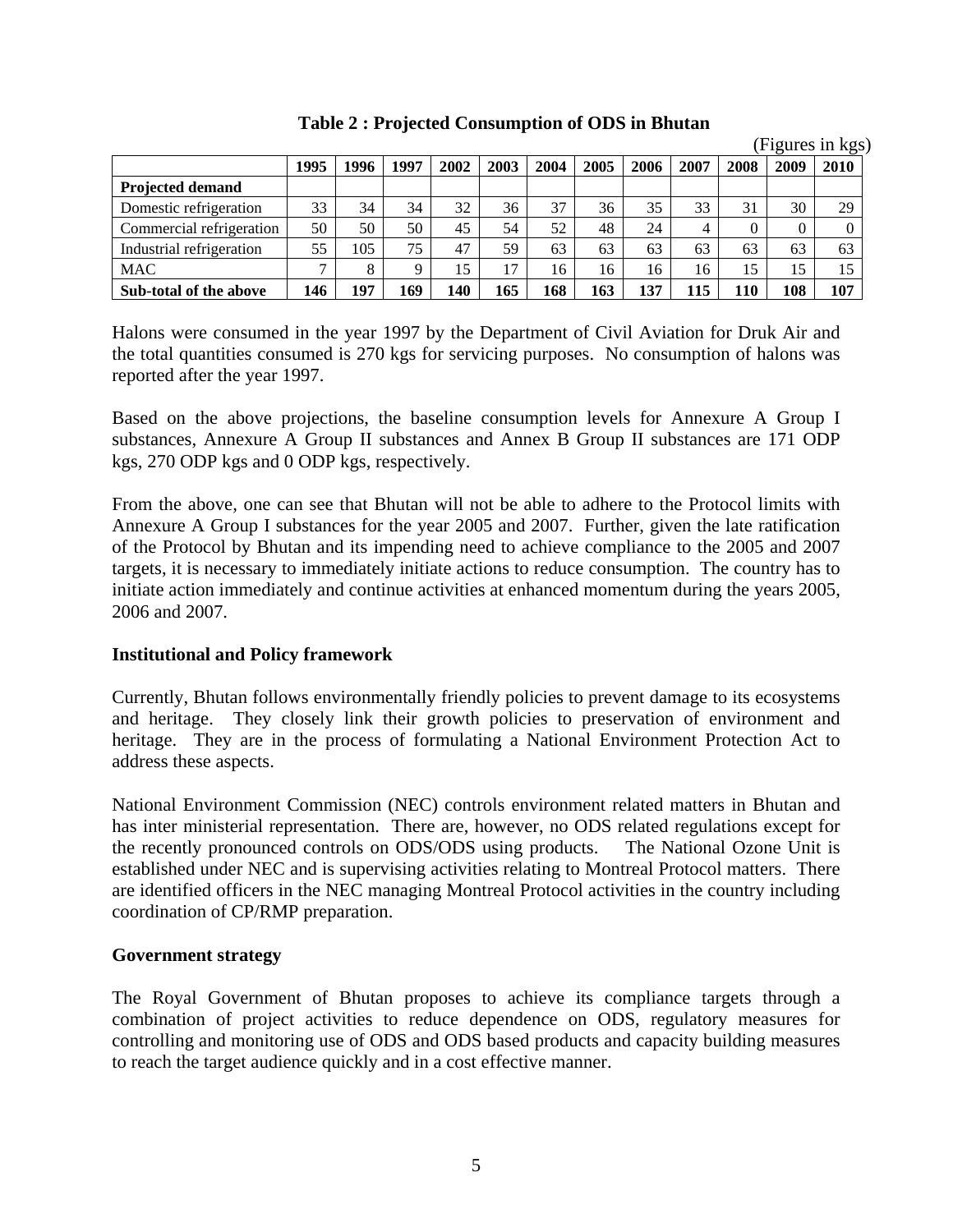|                          |              |      |             |      |      |      |      |      |      |      |      | (Figures in kgs) |
|--------------------------|--------------|------|-------------|------|------|------|------|------|------|------|------|------------------|
|                          | 1995         | 1996 | 1997        | 2002 | 2003 | 2004 | 2005 | 2006 | 2007 | 2008 | 2009 | 2010             |
| <b>Projected demand</b>  |              |      |             |      |      |      |      |      |      |      |      |                  |
| Domestic refrigeration   | 33           | 34   | 34          | 32   | 36   | 37   | 36   | 35   | 33   | 31   | 30   | 29               |
| Commercial refrigeration | 50           | 50   | 50          | 45   | 54   | 52   | 48   | 24   | 4    |      | 0    |                  |
| Industrial refrigeration | 55           | 105  | 75          | 47   | 59   | 63   | 63   | 63   | 63   | 63   | 63   | 63               |
| <b>MAC</b>               | $\mathbf{r}$ | 8    | $\mathbf Q$ | 15   | 17   | 16   | 16   | 16   | 16   | 15   | 15   | 15               |
| Sub-total of the above   | 146          | 197  | 169         | 140  | 165  | 168  | 163  | 137  | 115  | 110  | 108  | 107              |

**Table 2 : Projected Consumption of ODS in Bhutan** 

Halons were consumed in the year 1997 by the Department of Civil Aviation for Druk Air and the total quantities consumed is 270 kgs for servicing purposes. No consumption of halons was reported after the year 1997.

Based on the above projections, the baseline consumption levels for Annexure A Group I substances, Annexure A Group II substances and Annex B Group II substances are 171 ODP kgs, 270 ODP kgs and 0 ODP kgs, respectively.

From the above, one can see that Bhutan will not be able to adhere to the Protocol limits with Annexure A Group I substances for the year 2005 and 2007. Further, given the late ratification of the Protocol by Bhutan and its impending need to achieve compliance to the 2005 and 2007 targets, it is necessary to immediately initiate actions to reduce consumption. The country has to initiate action immediately and continue activities at enhanced momentum during the years 2005, 2006 and 2007.

#### **Institutional and Policy framework**

Currently, Bhutan follows environmentally friendly policies to prevent damage to its ecosystems and heritage. They closely link their growth policies to preservation of environment and heritage. They are in the process of formulating a National Environment Protection Act to address these aspects.

National Environment Commission (NEC) controls environment related matters in Bhutan and has inter ministerial representation. There are, however, no ODS related regulations except for the recently pronounced controls on ODS/ODS using products. The National Ozone Unit is established under NEC and is supervising activities relating to Montreal Protocol matters. There are identified officers in the NEC managing Montreal Protocol activities in the country including coordination of CP/RMP preparation.

#### **Government strategy**

The Royal Government of Bhutan proposes to achieve its compliance targets through a combination of project activities to reduce dependence on ODS, regulatory measures for controlling and monitoring use of ODS and ODS based products and capacity building measures to reach the target audience quickly and in a cost effective manner.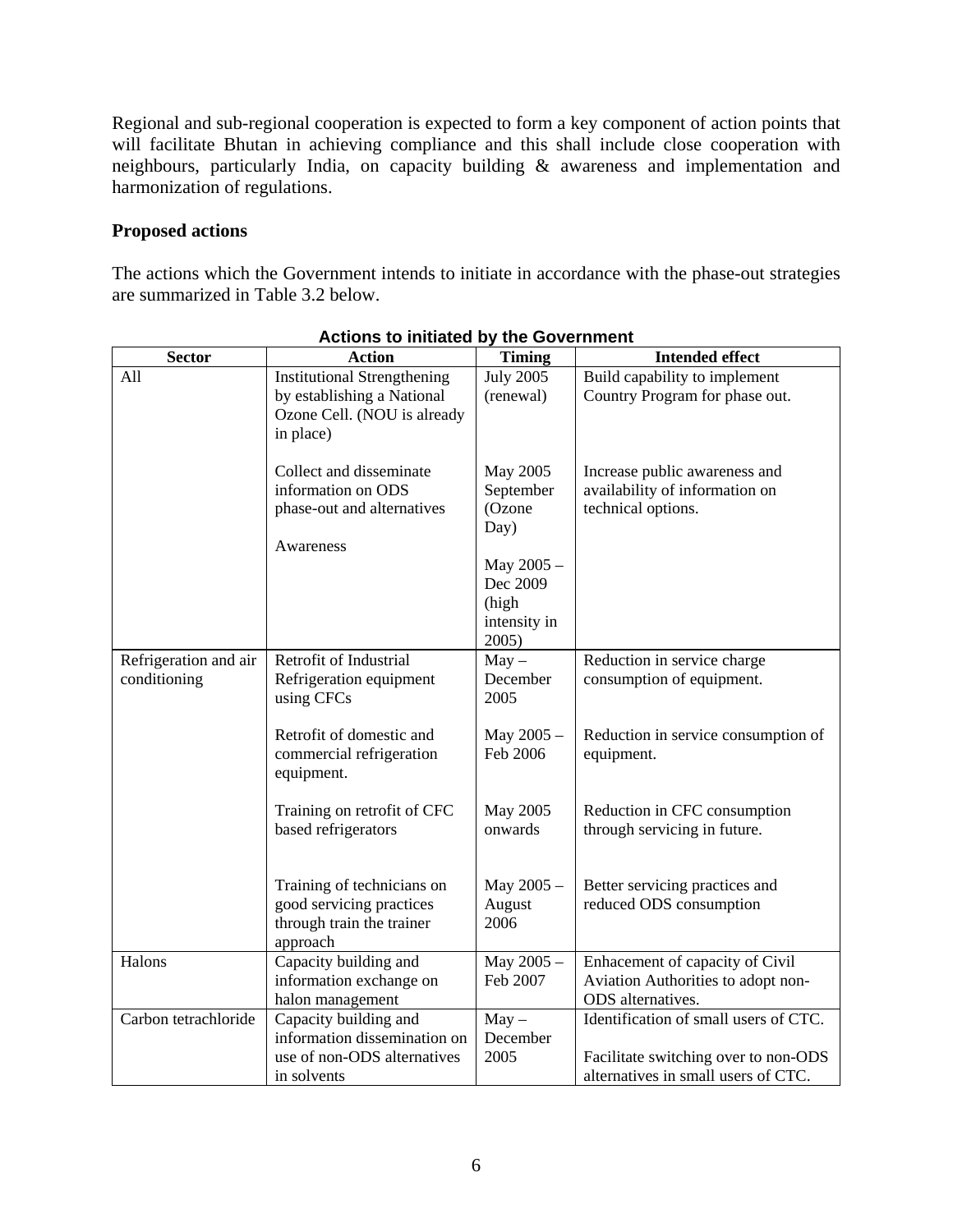Regional and sub-regional cooperation is expected to form a key component of action points that will facilitate Bhutan in achieving compliance and this shall include close cooperation with neighbours, particularly India, on capacity building & awareness and implementation and harmonization of regulations.

#### **Proposed actions**

The actions which the Government intends to initiate in accordance with the phase-out strategies are summarized in Table 3.2 below.

| <b>Sector</b>                         | <b>Action</b>                                                                                                | <b>Timing</b>                                            | <b>Intended effect</b>                                                                                               |
|---------------------------------------|--------------------------------------------------------------------------------------------------------------|----------------------------------------------------------|----------------------------------------------------------------------------------------------------------------------|
| All                                   | <b>Institutional Strengthening</b><br>by establishing a National<br>Ozone Cell. (NOU is already<br>in place) | <b>July 2005</b><br>(renewal)                            | Build capability to implement<br>Country Program for phase out.                                                      |
|                                       | Collect and disseminate<br>information on ODS<br>phase-out and alternatives                                  | May 2005<br>September<br>(Ozone<br>Day)                  | Increase public awareness and<br>availability of information on<br>technical options.                                |
|                                       | Awareness                                                                                                    | May 2005 -<br>Dec 2009<br>(high<br>intensity in<br>2005) |                                                                                                                      |
| Refrigeration and air<br>conditioning | Retrofit of Industrial<br>Refrigeration equipment<br>using CFCs                                              | $May -$<br>December<br>2005                              | Reduction in service charge<br>consumption of equipment.                                                             |
|                                       | Retrofit of domestic and<br>commercial refrigeration<br>equipment.                                           | May 2005 -<br>Feb 2006                                   | Reduction in service consumption of<br>equipment.                                                                    |
|                                       | Training on retrofit of CFC<br>based refrigerators                                                           | May 2005<br>onwards                                      | Reduction in CFC consumption<br>through servicing in future.                                                         |
|                                       | Training of technicians on<br>good servicing practices<br>through train the trainer<br>approach              | May 2005 -<br>August<br>2006                             | Better servicing practices and<br>reduced ODS consumption                                                            |
| Halons                                | Capacity building and<br>information exchange on<br>halon management                                         | May 2005 -<br>Feb 2007                                   | Enhacement of capacity of Civil<br>Aviation Authorities to adopt non-<br>ODS alternatives.                           |
| Carbon tetrachloride                  | Capacity building and<br>information dissemination on<br>use of non-ODS alternatives<br>in solvents          | $May -$<br>December<br>2005                              | Identification of small users of CTC.<br>Facilitate switching over to non-ODS<br>alternatives in small users of CTC. |

#### **Actions to initiated by the Government**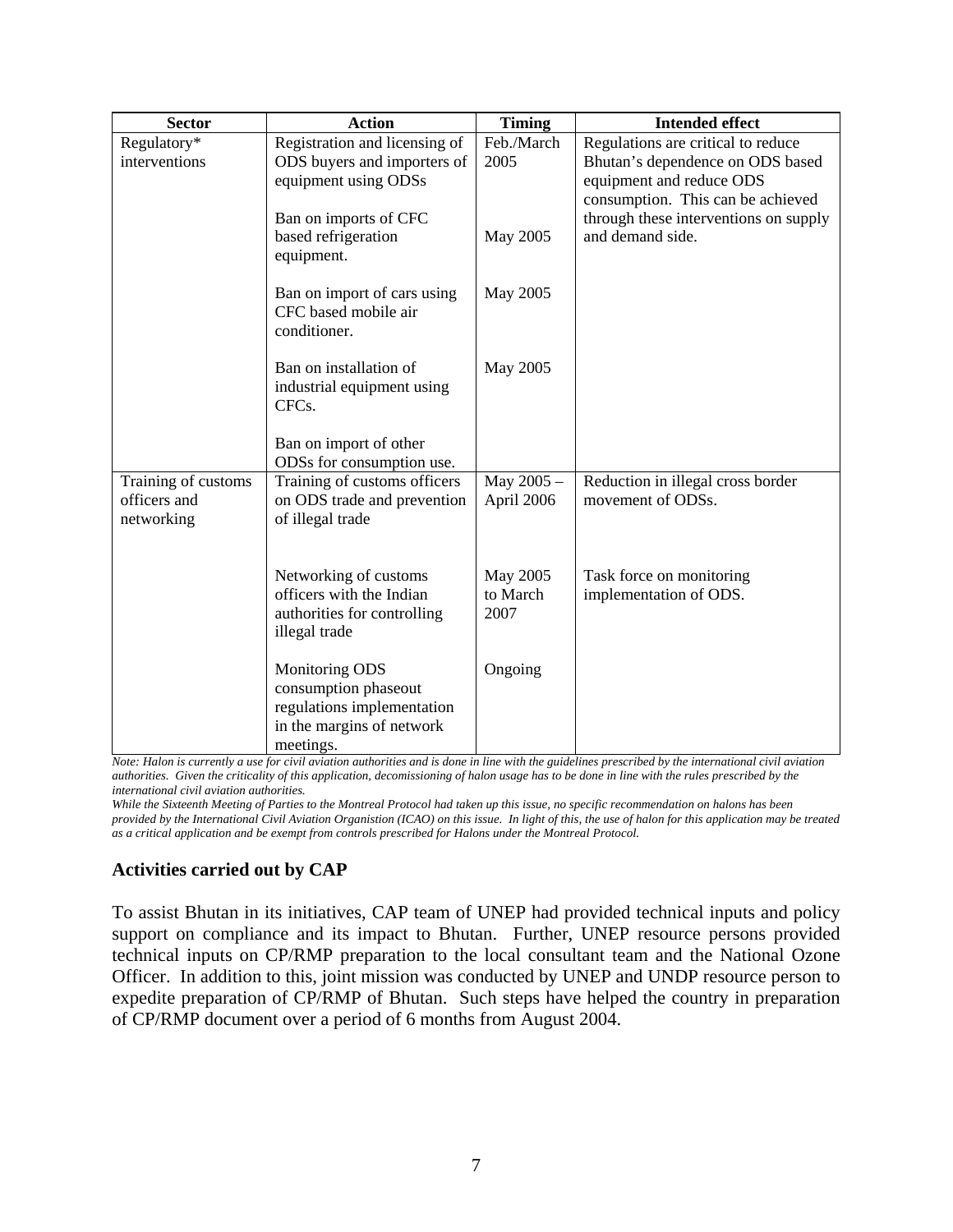| <b>Sector</b>       | <b>Action</b>                                    | <b>Timing</b> | <b>Intended effect</b>                                    |
|---------------------|--------------------------------------------------|---------------|-----------------------------------------------------------|
| Regulatory*         | Registration and licensing of                    | Feb./March    | Regulations are critical to reduce                        |
| interventions       | ODS buyers and importers of                      | 2005          | Bhutan's dependence on ODS based                          |
|                     | equipment using ODSs                             |               | equipment and reduce ODS                                  |
|                     |                                                  |               | consumption. This can be achieved                         |
|                     | Ban on imports of CFC<br>based refrigeration     | May 2005      | through these interventions on supply<br>and demand side. |
|                     | equipment.                                       |               |                                                           |
|                     |                                                  |               |                                                           |
|                     | Ban on import of cars using                      | May 2005      |                                                           |
|                     | CFC based mobile air                             |               |                                                           |
|                     | conditioner.                                     |               |                                                           |
|                     |                                                  |               |                                                           |
|                     | Ban on installation of                           | May 2005      |                                                           |
|                     | industrial equipment using<br>CFC <sub>s</sub> . |               |                                                           |
|                     |                                                  |               |                                                           |
|                     | Ban on import of other                           |               |                                                           |
|                     | ODSs for consumption use.                        |               |                                                           |
| Training of customs | Training of customs officers                     | May 2005 -    | Reduction in illegal cross border                         |
| officers and        | on ODS trade and prevention                      | April 2006    | movement of ODSs.                                         |
| networking          | of illegal trade                                 |               |                                                           |
|                     |                                                  |               |                                                           |
|                     | Networking of customs                            | May 2005      | Task force on monitoring                                  |
|                     | officers with the Indian                         | to March      | implementation of ODS.                                    |
|                     | authorities for controlling                      | 2007          |                                                           |
|                     | illegal trade                                    |               |                                                           |
|                     |                                                  |               |                                                           |
|                     | Monitoring ODS                                   | Ongoing       |                                                           |
|                     | consumption phaseout                             |               |                                                           |
|                     | regulations implementation                       |               |                                                           |
|                     | in the margins of network                        |               |                                                           |
|                     | meetings.                                        |               |                                                           |

*Note: Halon is currently a use for civil aviation authorities and is done in line with the guidelines prescribed by the international civil aviation authorities. Given the criticality of this application, decomissioning of halon usage has to be done in line with the rules prescribed by the international civil aviation authorities.* 

*While the Sixteenth Meeting of Parties to the Montreal Protocol had taken up this issue, no specific recommendation on halons has been provided by the International Civil Aviation Organistion (ICAO) on this issue. In light of this, the use of halon for this application may be treated as a critical application and be exempt from controls prescribed for Halons under the Montreal Protocol.* 

# **Activities carried out by CAP**

To assist Bhutan in its initiatives, CAP team of UNEP had provided technical inputs and policy support on compliance and its impact to Bhutan. Further, UNEP resource persons provided technical inputs on CP/RMP preparation to the local consultant team and the National Ozone Officer. In addition to this, joint mission was conducted by UNEP and UNDP resource person to expedite preparation of CP/RMP of Bhutan. Such steps have helped the country in preparation of CP/RMP document over a period of 6 months from August 2004.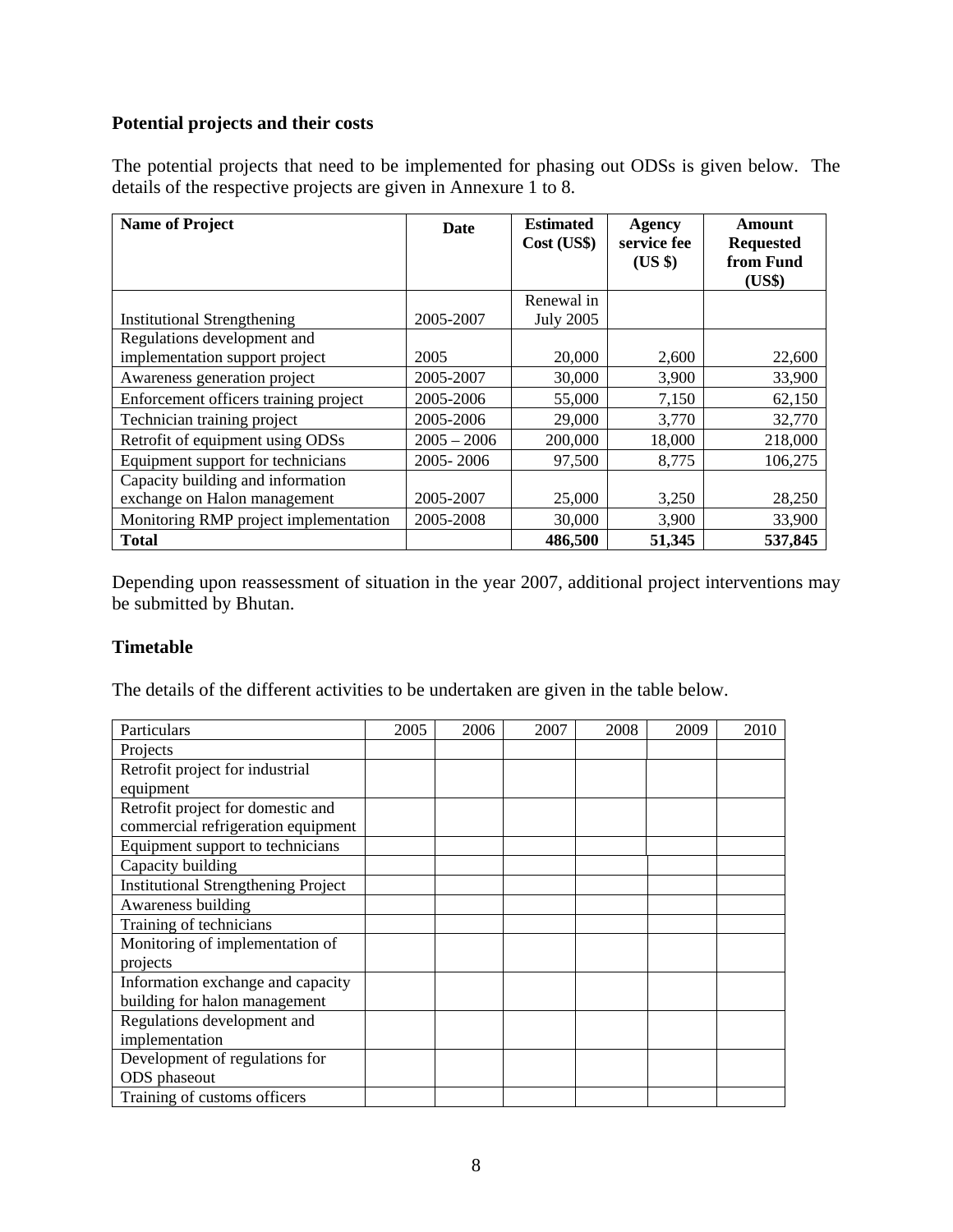# **Potential projects and their costs**

The potential projects that need to be implemented for phasing out ODSs is given below. The details of the respective projects are given in Annexure 1 to 8.

| <b>Name of Project</b>                | Date          | <b>Estimated</b><br>Cost (US\$) | Agency<br>service fee<br>$(US \$ | Amount<br><b>Requested</b><br>from Fund<br>(US\$) |
|---------------------------------------|---------------|---------------------------------|----------------------------------|---------------------------------------------------|
|                                       |               | Renewal in                      |                                  |                                                   |
| <b>Institutional Strengthening</b>    | 2005-2007     | <b>July 2005</b>                |                                  |                                                   |
| Regulations development and           |               |                                 |                                  |                                                   |
| implementation support project        | 2005          | 20,000                          | 2,600                            | 22,600                                            |
| Awareness generation project          | 2005-2007     | 30,000                          | 3,900                            | 33,900                                            |
| Enforcement officers training project | 2005-2006     | 55,000                          | 7,150                            | 62,150                                            |
| Technician training project           | 2005-2006     | 29,000                          | 3,770                            | 32,770                                            |
| Retrofit of equipment using ODSs      | $2005 - 2006$ | 200,000                         | 18,000                           | 218,000                                           |
| Equipment support for technicians     | 2005-2006     | 97,500                          | 8,775                            | 106,275                                           |
| Capacity building and information     |               |                                 |                                  |                                                   |
| exchange on Halon management          | 2005-2007     | 25,000                          | 3,250                            | 28,250                                            |
| Monitoring RMP project implementation | 2005-2008     | 30,000                          | 3,900                            | 33,900                                            |
| <b>Total</b>                          |               | 486,500                         | 51,345                           | 537,845                                           |

Depending upon reassessment of situation in the year 2007, additional project interventions may be submitted by Bhutan.

#### **Timetable**

The details of the different activities to be undertaken are given in the table below.

| Particulars                                | 2005 | 2006 | 2007 | 2008 | 2009 | 2010 |
|--------------------------------------------|------|------|------|------|------|------|
| Projects                                   |      |      |      |      |      |      |
| Retrofit project for industrial            |      |      |      |      |      |      |
| equipment                                  |      |      |      |      |      |      |
| Retrofit project for domestic and          |      |      |      |      |      |      |
| commercial refrigeration equipment         |      |      |      |      |      |      |
| Equipment support to technicians           |      |      |      |      |      |      |
| Capacity building                          |      |      |      |      |      |      |
| <b>Institutional Strengthening Project</b> |      |      |      |      |      |      |
| Awareness building                         |      |      |      |      |      |      |
| Training of technicians                    |      |      |      |      |      |      |
| Monitoring of implementation of            |      |      |      |      |      |      |
| projects                                   |      |      |      |      |      |      |
| Information exchange and capacity          |      |      |      |      |      |      |
| building for halon management              |      |      |      |      |      |      |
| Regulations development and                |      |      |      |      |      |      |
| implementation                             |      |      |      |      |      |      |
| Development of regulations for             |      |      |      |      |      |      |
| ODS phaseout                               |      |      |      |      |      |      |
| Training of customs officers               |      |      |      |      |      |      |